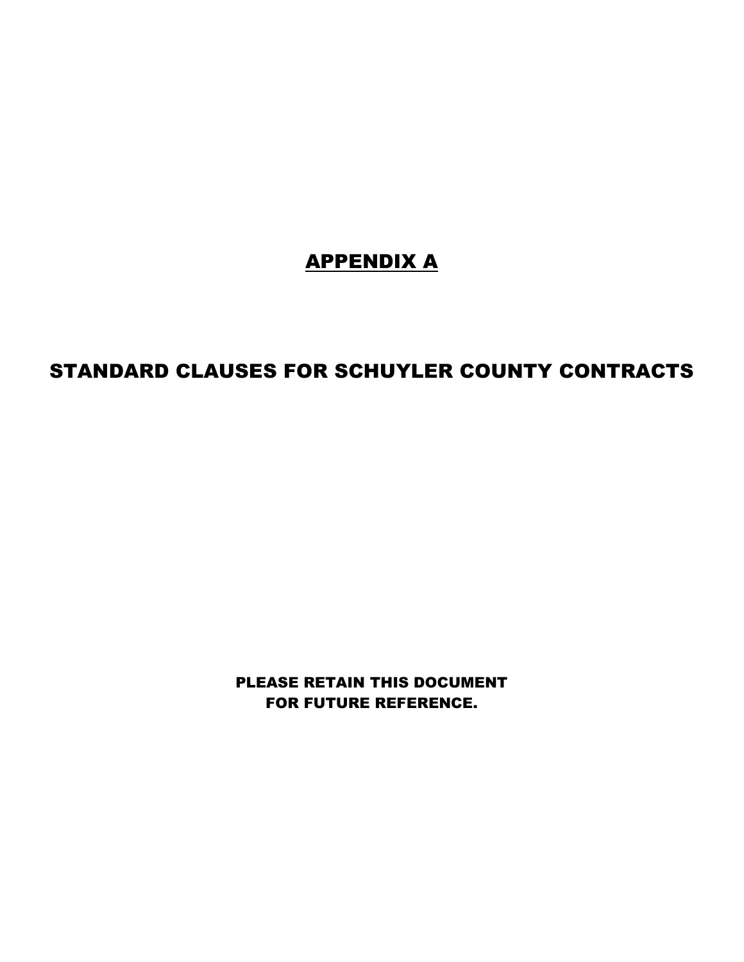## APPENDIX A

## STANDARD CLAUSES FOR SCHUYLER COUNTY CONTRACTS

PLEASE RETAIN THIS DOCUMENT FOR FUTURE REFERENCE.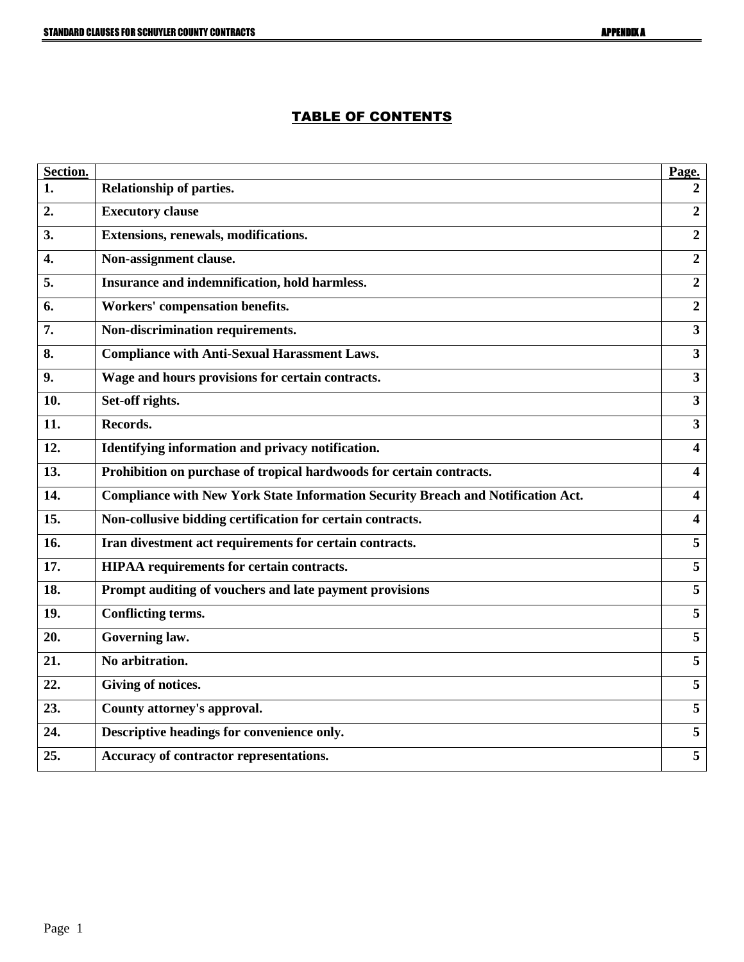## TABLE OF CONTENTS

| Section. |                                                                                  | Page.                   |
|----------|----------------------------------------------------------------------------------|-------------------------|
| 1.       | Relationship of parties.                                                         | 2                       |
| 2.       | <b>Executory clause</b>                                                          | $\overline{2}$          |
| 3.       | Extensions, renewals, modifications.                                             | $\overline{2}$          |
| 4.       | Non-assignment clause.                                                           | $\overline{2}$          |
| 5.       | Insurance and indemnification, hold harmless.                                    | $\overline{2}$          |
| 6.       | Workers' compensation benefits.                                                  | $\overline{2}$          |
| 7.       | Non-discrimination requirements.                                                 | $\overline{\mathbf{3}}$ |
| 8.       | <b>Compliance with Anti-Sexual Harassment Laws.</b>                              | $\overline{\mathbf{3}}$ |
| 9.       | Wage and hours provisions for certain contracts.                                 | $\overline{\mathbf{3}}$ |
| 10.      | Set-off rights.                                                                  | $\mathbf{3}$            |
| 11.      | Records.                                                                         | $\overline{\mathbf{3}}$ |
| 12.      | Identifying information and privacy notification.                                | $\overline{\mathbf{4}}$ |
| 13.      | Prohibition on purchase of tropical hardwoods for certain contracts.             | $\overline{\mathbf{4}}$ |
| 14.      | Compliance with New York State Information Security Breach and Notification Act. | 4                       |
| 15.      | Non-collusive bidding certification for certain contracts.                       | $\overline{\mathbf{4}}$ |
| 16.      | Iran divestment act requirements for certain contracts.                          | $\overline{5}$          |
| 17.      | HIPAA requirements for certain contracts.                                        | 5                       |
| 18.      | Prompt auditing of vouchers and late payment provisions                          | $\overline{5}$          |
| 19.      | Conflicting terms.                                                               | $\overline{\mathbf{5}}$ |
| 20.      | Governing law.                                                                   | $\overline{\mathbf{5}}$ |
| 21.      | No arbitration.                                                                  | $\overline{5}$          |
| 22.      | Giving of notices.                                                               | 5                       |
| 23.      | County attorney's approval.                                                      | 5                       |
| 24.      | Descriptive headings for convenience only.                                       | 5                       |
| 25.      | Accuracy of contractor representations.                                          | 5                       |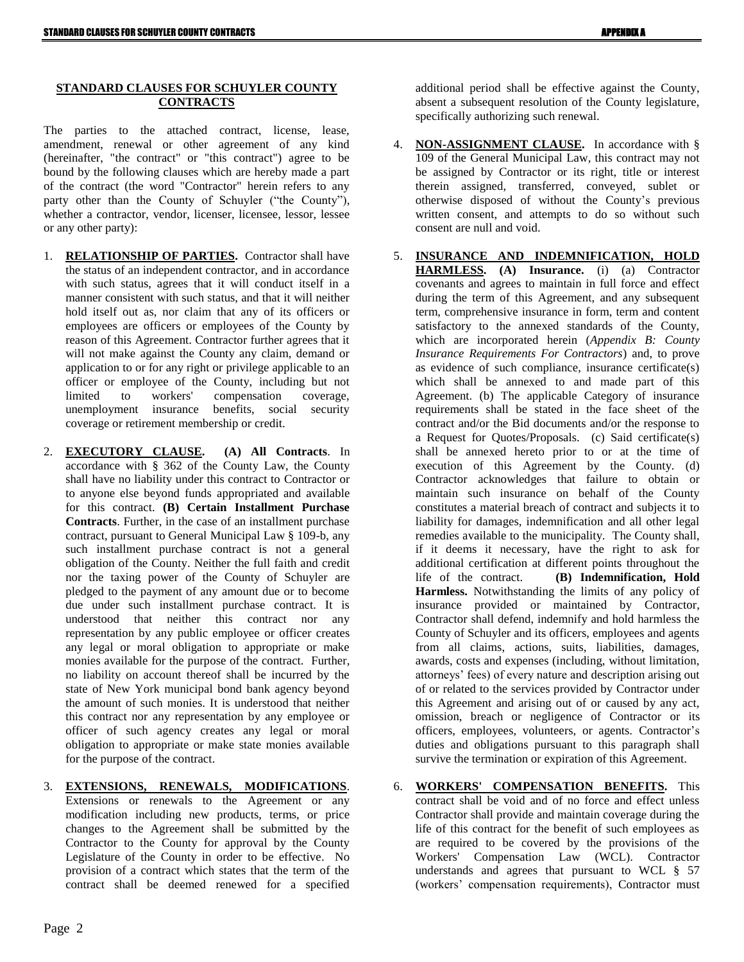## **STANDARD CLAUSES FOR SCHUYLER COUNTY CONTRACTS**

The parties to the attached contract, license, lease, amendment, renewal or other agreement of any kind (hereinafter, "the contract" or "this contract") agree to be bound by the following clauses which are hereby made a part of the contract (the word "Contractor" herein refers to any party other than the County of Schuyler ("the County"), whether a contractor, vendor, licenser, licensee, lessor, lessee or any other party):

- 1. **RELATIONSHIP OF PARTIES.** Contractor shall have the status of an independent contractor, and in accordance with such status, agrees that it will conduct itself in a manner consistent with such status, and that it will neither hold itself out as, nor claim that any of its officers or employees are officers or employees of the County by reason of this Agreement. Contractor further agrees that it will not make against the County any claim, demand or application to or for any right or privilege applicable to an officer or employee of the County, including but not limited to workers' compensation coverage, unemployment insurance benefits, social security coverage or retirement membership or credit.
- 2. **EXECUTORY CLAUSE. (A) All Contracts**. In accordance with § 362 of the County Law, the County shall have no liability under this contract to Contractor or to anyone else beyond funds appropriated and available for this contract. **(B) Certain Installment Purchase Contracts**. Further, in the case of an installment purchase contract, pursuant to General Municipal Law § 109-b, any such installment purchase contract is not a general obligation of the County. Neither the full faith and credit nor the taxing power of the County of Schuyler are pledged to the payment of any amount due or to become due under such installment purchase contract. It is understood that neither this contract nor any representation by any public employee or officer creates any legal or moral obligation to appropriate or make monies available for the purpose of the contract. Further, no liability on account thereof shall be incurred by the state of New York municipal bond bank agency beyond the amount of such monies. It is understood that neither this contract nor any representation by any employee or officer of such agency creates any legal or moral obligation to appropriate or make state monies available for the purpose of the contract.
- 3. **EXTENSIONS, RENEWALS, MODIFICATIONS**.
	- Extensions or renewals to the Agreement or any modification including new products, terms, or price changes to the Agreement shall be submitted by the Contractor to the County for approval by the County Legislature of the County in order to be effective. No provision of a contract which states that the term of the contract shall be deemed renewed for a specified

additional period shall be effective against the County, absent a subsequent resolution of the County legislature, specifically authorizing such renewal.

- 4. **NON-ASSIGNMENT CLAUSE.** In accordance with § 109 of the General Municipal Law, this contract may not be assigned by Contractor or its right, title or interest therein assigned, transferred, conveyed, sublet or otherwise disposed of without the County's previous written consent, and attempts to do so without such consent are null and void.
- 5. **INSURANCE AND INDEMNIFICATION, HOLD HARMLESS. (A) Insurance.** (i) (a) Contractor covenants and agrees to maintain in full force and effect during the term of this Agreement, and any subsequent term, comprehensive insurance in form, term and content satisfactory to the annexed standards of the County, which are incorporated herein (*Appendix B: County Insurance Requirements For Contractors*) and, to prove as evidence of such compliance, insurance certificate(s) which shall be annexed to and made part of this Agreement. (b) The applicable Category of insurance requirements shall be stated in the face sheet of the contract and/or the Bid documents and/or the response to a Request for Quotes/Proposals. (c) Said certificate(s) shall be annexed hereto prior to or at the time of execution of this Agreement by the County. (d) Contractor acknowledges that failure to obtain or maintain such insurance on behalf of the County constitutes a material breach of contract and subjects it to liability for damages, indemnification and all other legal remedies available to the municipality. The County shall, if it deems it necessary, have the right to ask for additional certification at different points throughout the life of the contract. **(B) Indemnification, Hold Harmless.** Notwithstanding the limits of any policy of insurance provided or maintained by Contractor, Contractor shall defend, indemnify and hold harmless the County of Schuyler and its officers, employees and agents from all claims, actions, suits, liabilities, damages, awards, costs and expenses (including, without limitation, attorneys' fees) of every nature and description arising out of or related to the services provided by Contractor under this Agreement and arising out of or caused by any act, omission, breach or negligence of Contractor or its officers, employees, volunteers, or agents. Contractor's duties and obligations pursuant to this paragraph shall survive the termination or expiration of this Agreement.
- 6. **WORKERS' COMPENSATION BENEFITS.** This contract shall be void and of no force and effect unless Contractor shall provide and maintain coverage during the life of this contract for the benefit of such employees as are required to be covered by the provisions of the Workers' Compensation Law (WCL). Contractor understands and agrees that pursuant to WCL § 57 (workers' compensation requirements), Contractor must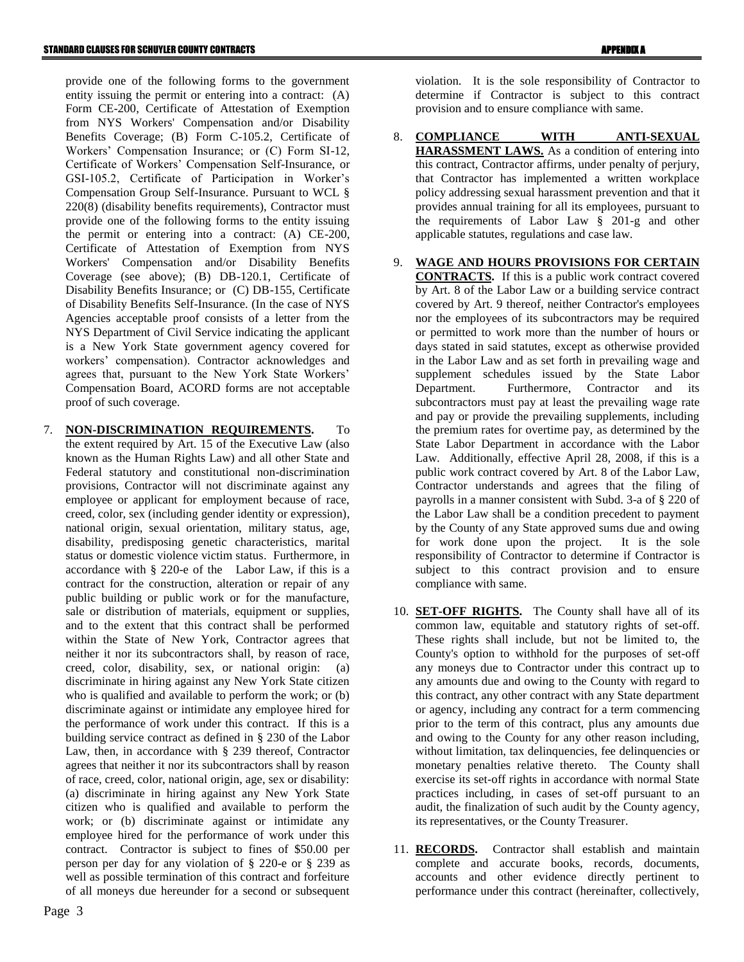provide one of the following forms to the government entity issuing the permit or entering into a contract: (A) Form CE-200, Certificate of Attestation of Exemption from NYS Workers' Compensation and/or Disability Benefits Coverage; (B) Form C-105.2, Certificate of Workers' Compensation Insurance; or (C) Form SI-12, Certificate of Workers' Compensation Self-Insurance, or GSI-105.2, Certificate of Participation in Worker's Compensation Group Self-Insurance. Pursuant to WCL § 220(8) (disability benefits requirements), Contractor must provide one of the following forms to the entity issuing the permit or entering into a contract: (A) CE-200, Certificate of Attestation of Exemption from NYS Workers' Compensation and/or Disability Benefits Coverage (see above); (B) DB-120.1, Certificate of Disability Benefits Insurance; or (C) DB-155, Certificate of Disability Benefits Self-Insurance. (In the case of NYS Agencies acceptable proof consists of a letter from the NYS Department of Civil Service indicating the applicant is a New York State government agency covered for workers' compensation). Contractor acknowledges and agrees that, pursuant to the New York State Workers' Compensation Board, ACORD forms are not acceptable proof of such coverage.

7. **NON-DISCRIMINATION REQUIREMENTS.** To the extent required by Art. 15 of the Executive Law (also known as the Human Rights Law) and all other State and Federal statutory and constitutional non-discrimination provisions, Contractor will not discriminate against any employee or applicant for employment because of race, creed, color, sex (including gender identity or expression), national origin, sexual orientation, military status, age, disability, predisposing genetic characteristics, marital status or domestic violence victim status. Furthermore, in accordance with § 220-e of the Labor Law, if this is a contract for the construction, alteration or repair of any public building or public work or for the manufacture, sale or distribution of materials, equipment or supplies, and to the extent that this contract shall be performed within the State of New York, Contractor agrees that neither it nor its subcontractors shall, by reason of race, creed, color, disability, sex, or national origin: (a) discriminate in hiring against any New York State citizen who is qualified and available to perform the work; or (b) discriminate against or intimidate any employee hired for the performance of work under this contract. If this is a building service contract as defined in § 230 of the Labor Law, then, in accordance with § 239 thereof, Contractor agrees that neither it nor its subcontractors shall by reason of race, creed, color, national origin, age, sex or disability: (a) discriminate in hiring against any New York State citizen who is qualified and available to perform the work; or (b) discriminate against or intimidate any employee hired for the performance of work under this contract. Contractor is subject to fines of \$50.00 per person per day for any violation of § 220-e or § 239 as well as possible termination of this contract and forfeiture of all moneys due hereunder for a second or subsequent

Page 3

violation. It is the sole responsibility of Contractor to determine if Contractor is subject to this contract provision and to ensure compliance with same.

- 8. **COMPLIANCE WITH ANTI-SEXUAL HARASSMENT LAWS.** As a condition of entering into this contract, Contractor affirms, under penalty of perjury, that Contractor has implemented a written workplace policy addressing sexual harassment prevention and that it provides annual training for all its employees, pursuant to the requirements of Labor Law § 201-g and other applicable statutes, regulations and case law.
- 9. **WAGE AND HOURS PROVISIONS FOR CERTAIN CONTRACTS.** If this is a public work contract covered by Art. 8 of the Labor Law or a building service contract covered by Art. 9 thereof, neither Contractor's employees nor the employees of its subcontractors may be required or permitted to work more than the number of hours or days stated in said statutes, except as otherwise provided in the Labor Law and as set forth in prevailing wage and supplement schedules issued by the State Labor Department. Furthermore, Contractor and its subcontractors must pay at least the prevailing wage rate and pay or provide the prevailing supplements, including the premium rates for overtime pay, as determined by the State Labor Department in accordance with the Labor Law. Additionally, effective April 28, 2008, if this is a public work contract covered by Art. 8 of the Labor Law, Contractor understands and agrees that the filing of payrolls in a manner consistent with Subd. 3-a of § 220 of the Labor Law shall be a condition precedent to payment by the County of any State approved sums due and owing for work done upon the project. It is the sole responsibility of Contractor to determine if Contractor is subject to this contract provision and to ensure compliance with same.
- 10. **SET-OFF RIGHTS.** The County shall have all of its common law, equitable and statutory rights of set-off. These rights shall include, but not be limited to, the County's option to withhold for the purposes of set-off any moneys due to Contractor under this contract up to any amounts due and owing to the County with regard to this contract, any other contract with any State department or agency, including any contract for a term commencing prior to the term of this contract, plus any amounts due and owing to the County for any other reason including, without limitation, tax delinquencies, fee delinquencies or monetary penalties relative thereto. The County shall exercise its set-off rights in accordance with normal State practices including, in cases of set-off pursuant to an audit, the finalization of such audit by the County agency, its representatives, or the County Treasurer.
- 11. **RECORDS.** Contractor shall establish and maintain complete and accurate books, records, documents, accounts and other evidence directly pertinent to performance under this contract (hereinafter, collectively,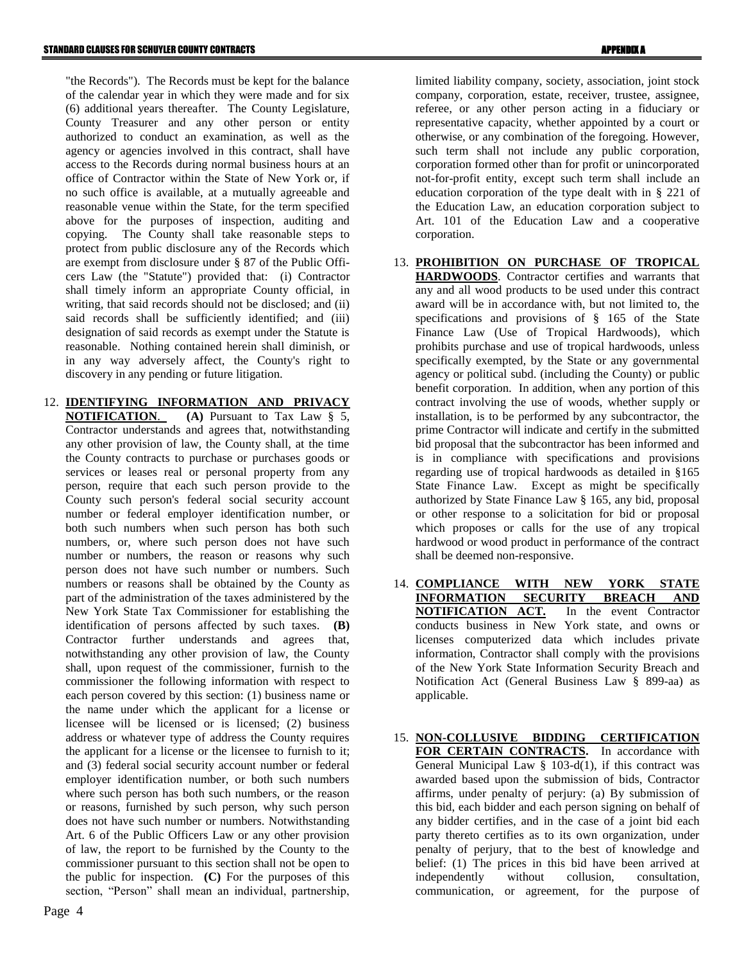"the Records"). The Records must be kept for the balance of the calendar year in which they were made and for six (6) additional years thereafter. The County Legislature, County Treasurer and any other person or entity authorized to conduct an examination, as well as the agency or agencies involved in this contract, shall have access to the Records during normal business hours at an office of Contractor within the State of New York or, if no such office is available, at a mutually agreeable and reasonable venue within the State, for the term specified above for the purposes of inspection, auditing and copying. The County shall take reasonable steps to protect from public disclosure any of the Records which are exempt from disclosure under § 87 of the Public Officers Law (the "Statute") provided that: (i) Contractor shall timely inform an appropriate County official, in writing, that said records should not be disclosed; and (ii) said records shall be sufficiently identified; and (iii) designation of said records as exempt under the Statute is reasonable. Nothing contained herein shall diminish, or in any way adversely affect, the County's right to discovery in any pending or future litigation.

12. **IDENTIFYING INFORMATION AND PRIVACY NOTIFICATION**. **(A)** Pursuant to Tax Law § 5, Contractor understands and agrees that, notwithstanding any other provision of law, the County shall, at the time the County contracts to purchase or purchases goods or services or leases real or personal property from any person, require that each such person provide to the County such person's federal social security account number or federal employer identification number, or both such numbers when such person has both such numbers, or, where such person does not have such number or numbers, the reason or reasons why such person does not have such number or numbers. Such numbers or reasons shall be obtained by the County as part of the administration of the taxes administered by the New York State Tax Commissioner for establishing the identification of persons affected by such taxes. **(B)** Contractor further understands and agrees that, notwithstanding any other provision of law, the County shall, upon request of the commissioner, furnish to the commissioner the following information with respect to each person covered by this section: (1) business name or the name under which the applicant for a license or licensee will be licensed or is licensed; (2) business address or whatever type of address the County requires the applicant for a license or the licensee to furnish to it; and (3) federal social security account number or federal employer identification number, or both such numbers where such person has both such numbers, or the reason or reasons, furnished by such person, why such person does not have such number or numbers. Notwithstanding Art. 6 of the Public Officers Law or any other provision of law, the report to be furnished by the County to the commissioner pursuant to this section shall not be open to the public for inspection. **(C)** For the purposes of this section, "Person" shall mean an individual, partnership, limited liability company, society, association, joint stock company, corporation, estate, receiver, trustee, assignee, referee, or any other person acting in a fiduciary or representative capacity, whether appointed by a court or otherwise, or any combination of the foregoing. However, such term shall not include any public corporation, corporation formed other than for profit or unincorporated not-for-profit entity, except such term shall include an education corporation of the type dealt with in § 221 of the Education Law, an education corporation subject to Art. 101 of the Education Law and a cooperative corporation.

- 13. **PROHIBITION ON PURCHASE OF TROPICAL HARDWOODS**. Contractor certifies and warrants that any and all wood products to be used under this contract award will be in accordance with, but not limited to, the specifications and provisions of § 165 of the State Finance Law (Use of Tropical Hardwoods), which prohibits purchase and use of tropical hardwoods, unless specifically exempted, by the State or any governmental agency or political subd. (including the County) or public benefit corporation. In addition, when any portion of this contract involving the use of woods, whether supply or installation, is to be performed by any subcontractor, the prime Contractor will indicate and certify in the submitted bid proposal that the subcontractor has been informed and is in compliance with specifications and provisions regarding use of tropical hardwoods as detailed in §165 State Finance Law. Except as might be specifically authorized by State Finance Law § 165, any bid, proposal or other response to a solicitation for bid or proposal which proposes or calls for the use of any tropical hardwood or wood product in performance of the contract shall be deemed non-responsive.
- 14. **COMPLIANCE WITH NEW YORK STATE INFORMATION SECURITY BREACH AND NOTIFICATION ACT.** In the event Contractor conducts business in New York state, and owns or licenses computerized data which includes private information, Contractor shall comply with the provisions of the New York State Information Security Breach and Notification Act (General Business Law § 899-aa) as applicable.
- 15. **NON-COLLUSIVE BIDDING CERTIFICATION FOR CERTAIN CONTRACTS.** In accordance with General Municipal Law  $\S$  103-d(1), if this contract was awarded based upon the submission of bids, Contractor affirms, under penalty of perjury: (a) By submission of this bid, each bidder and each person signing on behalf of any bidder certifies, and in the case of a joint bid each party thereto certifies as to its own organization, under penalty of perjury, that to the best of knowledge and belief: (1) The prices in this bid have been arrived at independently without collusion, consultation, communication, or agreement, for the purpose of